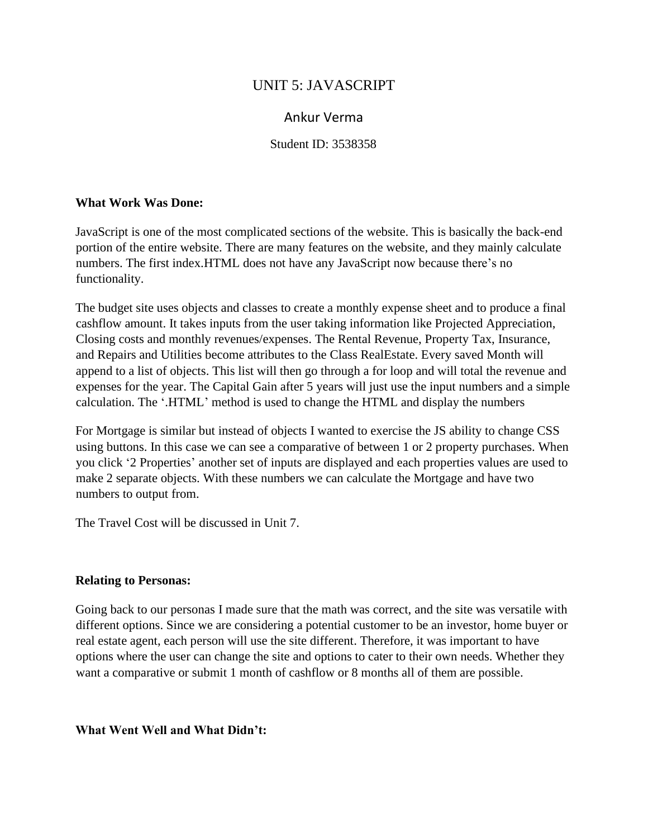# UNIT 5: JAVASCRIPT

## Ankur Verma

Student ID: 3538358

#### **What Work Was Done:**

JavaScript is one of the most complicated sections of the website. This is basically the back-end portion of the entire website. There are many features on the website, and they mainly calculate numbers. The first index.HTML does not have any JavaScript now because there's no functionality.

The budget site uses objects and classes to create a monthly expense sheet and to produce a final cashflow amount. It takes inputs from the user taking information like Projected Appreciation, Closing costs and monthly revenues/expenses. The Rental Revenue, Property Tax, Insurance, and Repairs and Utilities become attributes to the Class RealEstate. Every saved Month will append to a list of objects. This list will then go through a for loop and will total the revenue and expenses for the year. The Capital Gain after 5 years will just use the input numbers and a simple calculation. The '.HTML' method is used to change the HTML and display the numbers

For Mortgage is similar but instead of objects I wanted to exercise the JS ability to change CSS using buttons. In this case we can see a comparative of between 1 or 2 property purchases. When you click '2 Properties' another set of inputs are displayed and each properties values are used to make 2 separate objects. With these numbers we can calculate the Mortgage and have two numbers to output from.

The Travel Cost will be discussed in Unit 7.

#### **Relating to Personas:**

Going back to our personas I made sure that the math was correct, and the site was versatile with different options. Since we are considering a potential customer to be an investor, home buyer or real estate agent, each person will use the site different. Therefore, it was important to have options where the user can change the site and options to cater to their own needs. Whether they want a comparative or submit 1 month of cashflow or 8 months all of them are possible.

#### **What Went Well and What Didn't:**